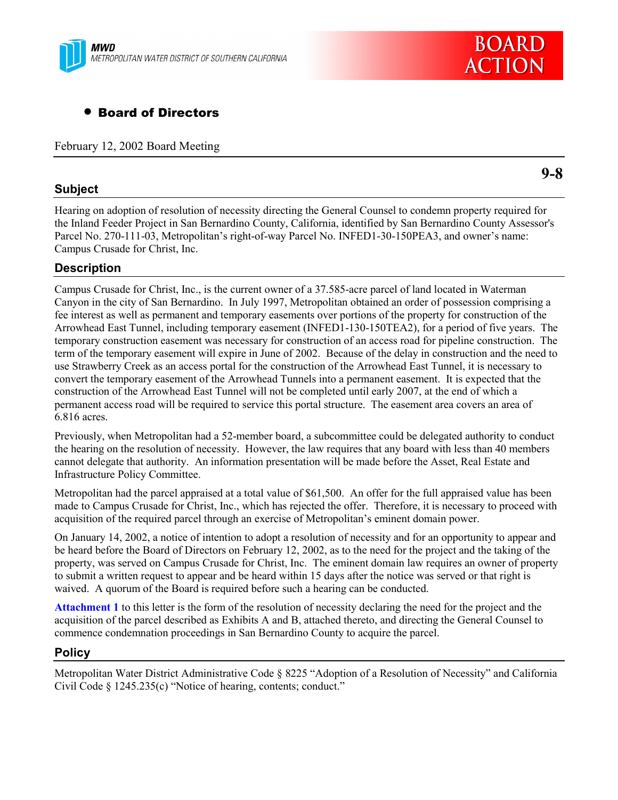

# • Board of Directors

February 12, 2002 Board Meeting

# **Subject**

Hearing on adoption of resolution of necessity directing the General Counsel to condemn property required for the Inland Feeder Project in San Bernardino County, California, identified by San Bernardino County Assessor's Parcel No. 270-111-03, Metropolitan's right-of-way Parcel No. INFED1-30-150PEA3, and owner's name: Campus Crusade for Christ, Inc.

# **Description**

Campus Crusade for Christ, Inc., is the current owner of a 37.585-acre parcel of land located in Waterman Canyon in the city of San Bernardino. In July 1997, Metropolitan obtained an order of possession comprising a fee interest as well as permanent and temporary easements over portions of the property for construction of the Arrowhead East Tunnel, including temporary easement (INFED1-130-150TEA2), for a period of five years. The temporary construction easement was necessary for construction of an access road for pipeline construction. The term of the temporary easement will expire in June of 2002. Because of the delay in construction and the need to use Strawberry Creek as an access portal for the construction of the Arrowhead East Tunnel, it is necessary to convert the temporary easement of the Arrowhead Tunnels into a permanent easement. It is expected that the construction of the Arrowhead East Tunnel will not be completed until early 2007, at the end of which a permanent access road will be required to service this portal structure. The easement area covers an area of 6.816 acres.

Previously, when Metropolitan had a 52-member board, a subcommittee could be delegated authority to conduct the hearing on the resolution of necessity. However, the law requires that any board with less than 40 members cannot delegate that authority. An information presentation will be made before the Asset, Real Estate and Infrastructure Policy Committee.

Metropolitan had the parcel appraised at a total value of \$61,500. An offer for the full appraised value has been made to Campus Crusade for Christ, Inc., which has rejected the offer. Therefore, it is necessary to proceed with acquisition of the required parcel through an exercise of Metropolitan's eminent domain power.

On January 14, 2002, a notice of intention to adopt a resolution of necessity and for an opportunity to appear and be heard before the Board of Directors on February 12, 2002, as to the need for the project and the taking of the property, was served on Campus Crusade for Christ, Inc. The eminent domain law requires an owner of property to submit a written request to appear and be heard within 15 days after the notice was served or that right is waived. A quorum of the Board is required before such a hearing can be conducted.

**Attachment 1** to this letter is the form of the resolution of necessity declaring the need for the project and the acquisition of the parcel described as Exhibits A and B, attached thereto, and directing the General Counsel to commence condemnation proceedings in San Bernardino County to acquire the parcel.

# **Policy**

Metropolitan Water District Administrative Code § 8225 "Adoption of a Resolution of Necessity" and California Civil Code  $\S 1245.235(c)$  "Notice of hearing, contents; conduct."



**9-8**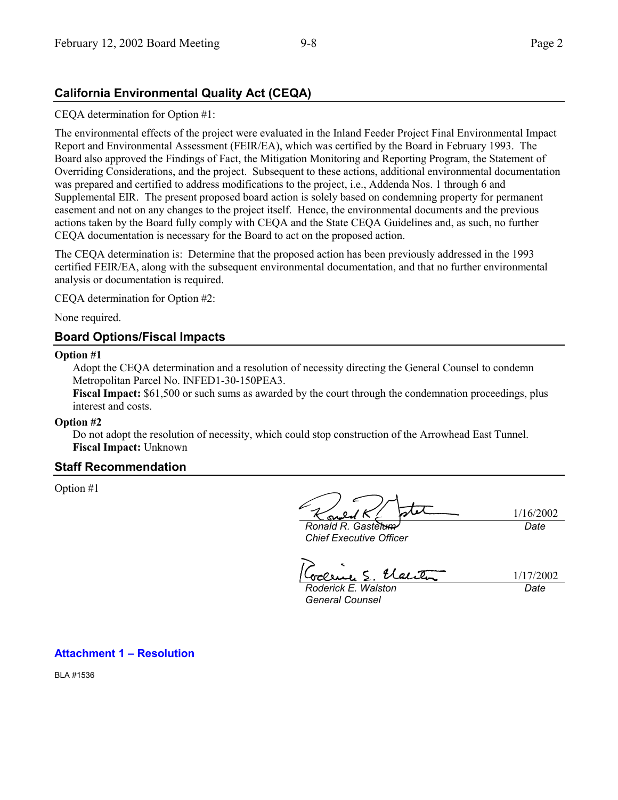# **California Environmental Quality Act (CEQA)**

CEQA determination for Option #1:

The environmental effects of the project were evaluated in the Inland Feeder Project Final Environmental Impact Report and Environmental Assessment (FEIR/EA), which was certified by the Board in February 1993. The Board also approved the Findings of Fact, the Mitigation Monitoring and Reporting Program, the Statement of Overriding Considerations, and the project. Subsequent to these actions, additional environmental documentation was prepared and certified to address modifications to the project, i.e., Addenda Nos. 1 through 6 and Supplemental EIR. The present proposed board action is solely based on condemning property for permanent easement and not on any changes to the project itself. Hence, the environmental documents and the previous actions taken by the Board fully comply with CEQA and the State CEQA Guidelines and, as such, no further CEQA documentation is necessary for the Board to act on the proposed action.

The CEQA determination is: Determine that the proposed action has been previously addressed in the 1993 certified FEIR/EA, along with the subsequent environmental documentation, and that no further environmental analysis or documentation is required.

CEQA determination for Option #2:

None required.

# **Board Options/Fiscal Impacts**

### **Option #1**

Adopt the CEQA determination and a resolution of necessity directing the General Counsel to condemn Metropolitan Parcel No. INFED1-30-150PEA3.

**Fiscal Impact:** \$61,500 or such sums as awarded by the court through the condemnation proceedings, plus interest and costs.

### **Option #2**

Do not adopt the resolution of necessity, which could stop construction of the Arrowhead East Tunnel. **Fiscal Impact:** Unknown

# **Staff Recommendation**

Option #1

1/16/2002 *Date*

*Ronald R. Gastelum Chief Executive Officer*

Uei I

*Roderick E. Walston*

1/17/2002 *Date*

*General Counsel*

**Attachment 1 – Resolution** 

BLA #1536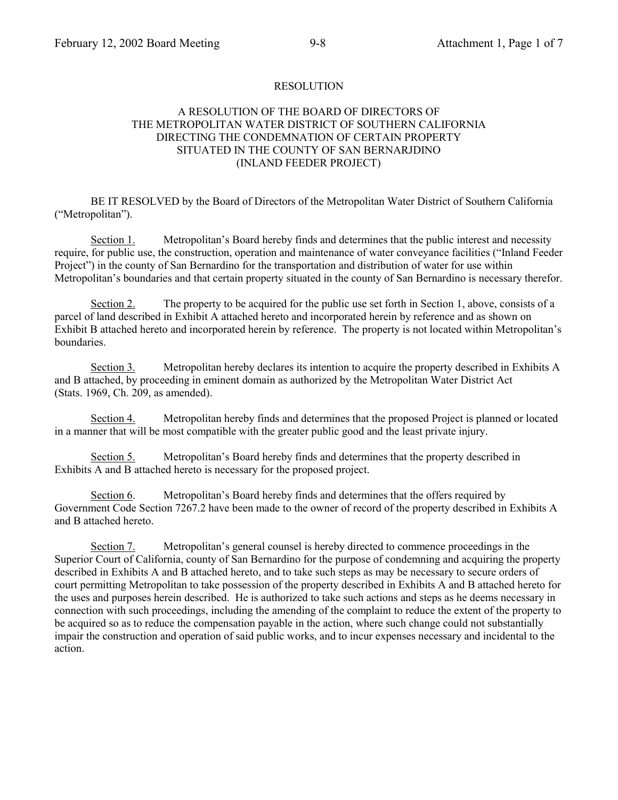### RESOLUTION

### A RESOLUTION OF THE BOARD OF DIRECTORS OF THE METROPOLITAN WATER DISTRICT OF SOUTHERN CALIFORNIA DIRECTING THE CONDEMNATION OF CERTAIN PROPERTY SITUATED IN THE COUNTY OF SAN BERNARJDINO (INLAND FEEDER PROJECT)

BE IT RESOLVED by the Board of Directors of the Metropolitan Water District of Southern California ("Metropolitan").

Section 1. Metropolitan's Board hereby finds and determines that the public interest and necessity require, for public use, the construction, operation and maintenance of water conveyance facilities ("Inland Feeder Project") in the county of San Bernardino for the transportation and distribution of water for use within Metropolitan's boundaries and that certain property situated in the county of San Bernardino is necessary therefor.

Section 2. The property to be acquired for the public use set forth in Section 1, above, consists of a parcel of land described in Exhibit A attached hereto and incorporated herein by reference and as shown on Exhibit B attached hereto and incorporated herein by reference. The property is not located within Metropolitan's boundaries.

Section 3. Metropolitan hereby declares its intention to acquire the property described in Exhibits A and B attached, by proceeding in eminent domain as authorized by the Metropolitan Water District Act (Stats. 1969, Ch. 209, as amended).

Section 4. Metropolitan hereby finds and determines that the proposed Project is planned or located in a manner that will be most compatible with the greater public good and the least private injury.

Section 5. Metropolitan's Board hereby finds and determines that the property described in Exhibits A and B attached hereto is necessary for the proposed project.

Section 6. Metropolitan's Board hereby finds and determines that the offers required by Government Code Section 7267.2 have been made to the owner of record of the property described in Exhibits A and B attached hereto.

Section 7. Metropolitan's general counsel is hereby directed to commence proceedings in the Superior Court of California, county of San Bernardino for the purpose of condemning and acquiring the property described in Exhibits A and B attached hereto, and to take such steps as may be necessary to secure orders of court permitting Metropolitan to take possession of the property described in Exhibits A and B attached hereto for the uses and purposes herein described. He is authorized to take such actions and steps as he deems necessary in connection with such proceedings, including the amending of the complaint to reduce the extent of the property to be acquired so as to reduce the compensation payable in the action, where such change could not substantially impair the construction and operation of said public works, and to incur expenses necessary and incidental to the action.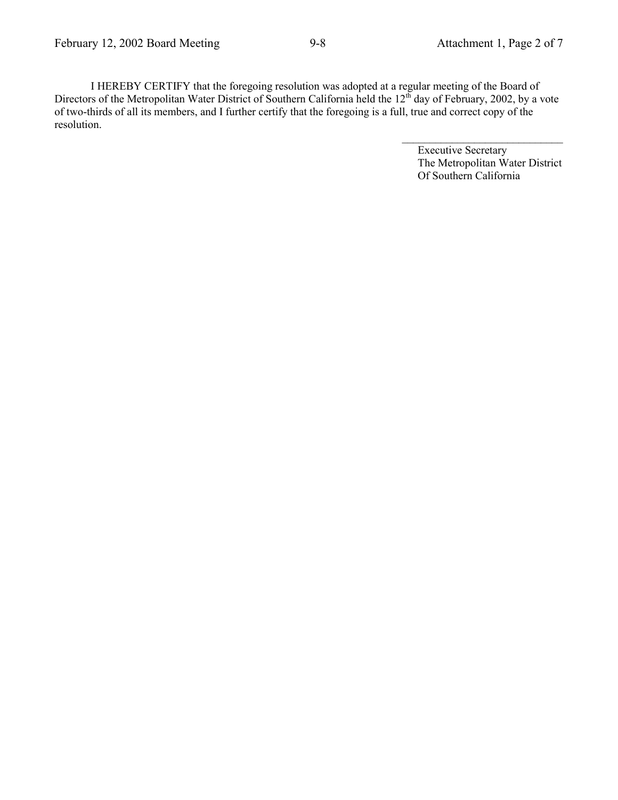I HEREBY CERTIFY that the foregoing resolution was adopted at a regular meeting of the Board of Directors of the Metropolitan Water District of Southern California held the 12<sup>th</sup> day of February, 2002, by a vote of two-thirds of all its members, and I further certify that the foregoing is a full, true and correct copy of the resolution.

> Executive Secretary The Metropolitan Water District Of Southern California

 $\mathcal{L}_\text{max}$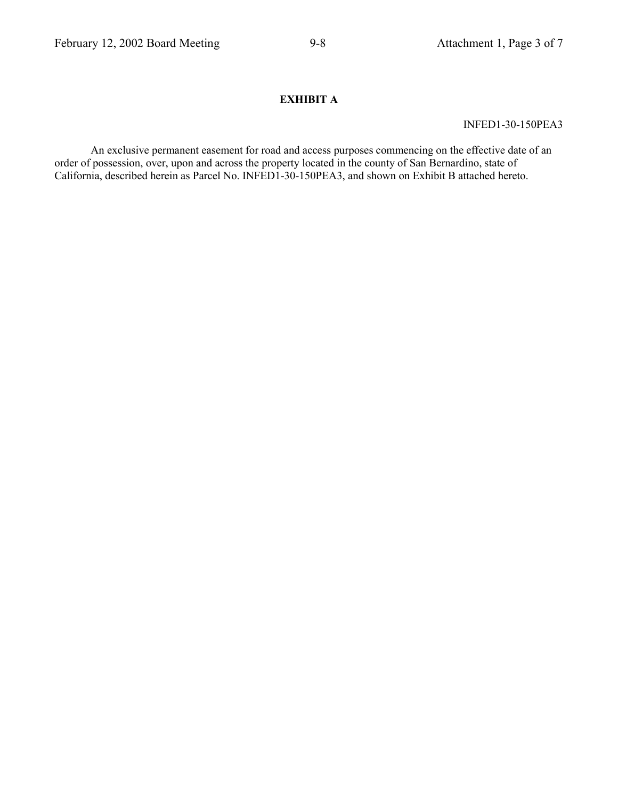# **EXHIBIT A**

INFED1-30-150PEA3

An exclusive permanent easement for road and access purposes commencing on the effective date of an order of possession, over, upon and across the property located in the county of San Bernardino, state of California, described herein as Parcel No. INFED1-30-150PEA3, and shown on Exhibit B attached hereto.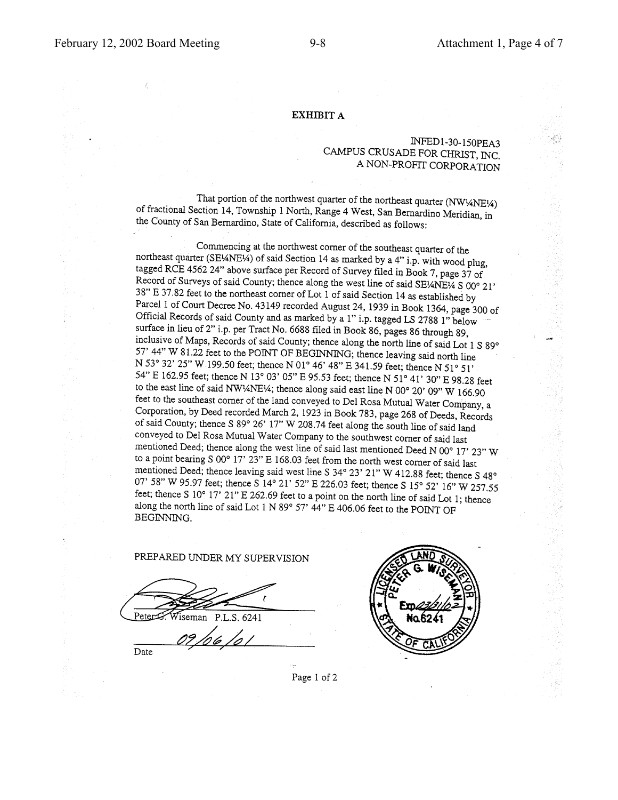#### **EXHIBIT A**

#### INFED1-30-150PEA3 CAMPUS CRUSADE FOR CHRIST, INC. A NON-PROFIT CORPORATION

That portion of the northwest quarter of the northeast quarter (NW14NE14) of fractional Section 14, Township 1 North, Range 4 West, San Bernardino Meridian, in the County of San Bernardino, State of California, described as follows:

Commencing at the northwest corner of the southeast quarter of the northeast quarter (SE<sup>1</sup>/ANE<sup>1</sup>/<sub>4</sub>) of said Section 14 as marked by a 4" i.p. with wood plug, tagged RCE 4562 24" above surface per Record of Survey filed in Book 7, page 37 of Record of Surveys of said County; thence along the west line of said SE¼NE¼ S 00° 21' 38" E 37.82 feet to the northeast corner of Lot 1 of said Section 14 as established by Parcel 1 of Court Decree No. 43149 recorded August 24, 1939 in Book 1364, page 300 of Official Records of said County and as marked by a 1" i.p. tagged LS 2788 1" below surface in lieu of 2" i.p. per Tract No. 6688 filed in Book 86, pages 86 through 89, inclusive of Maps, Records of said County; thence along the north line of said Lot 1 S 89° 57' 44" W 81.22 feet to the POINT OF BEGINNING; thence leaving said north line N 53° 32' 25" W 199.50 feet; thence N 01° 46' 48" E 341.59 feet; thence N 51° 51' 54" E 162.95 feet; thence N 13° 03' 05" E 95.53 feet; thence N 51° 41' 30" E 98.28 feet to the east line of said NW!4NE!4; thence along said east line N 00° 20' 09" W 166.90 feet to the southeast corner of the land conveyed to Del Rosa Mutual Water Company, a Corporation, by Deed recorded March 2, 1923 in Book 783, page 268 of Deeds, Records of said County; thence S 89° 26' 17" W 208.74 feet along the south line of said land conveyed to Del Rosa Mutual Water Company to the southwest corner of said last mentioned Deed; thence along the west line of said last mentioned Deed N 00° 17' 23" W to a point bearing S  $00^{\circ}$  17'  $23$ " E 168.03 feet from the north west corner of said last mentioned Deed; thence leaving said west line S 34° 23' 21" W 412.88 feet; thence S 48° 07' 58" W 95.97 feet; thence S 14° 21' 52" E 226.03 feet; thence S 15° 52' 16" W 257.55 feet; thence S 10° 17' 21" E 262.69 feet to a point on the north line of said Lot 1; thence along the north line of said Lot  $1 \text{ N } 89^{\circ} 57' 44''$  E  $406.06$  feet to the POINT OF BEGINNING.

#### PREPARED UNDER MY SUPERVISION

Wiseman P.L.S. 6241

09/06/0 Date



Page 1 of 2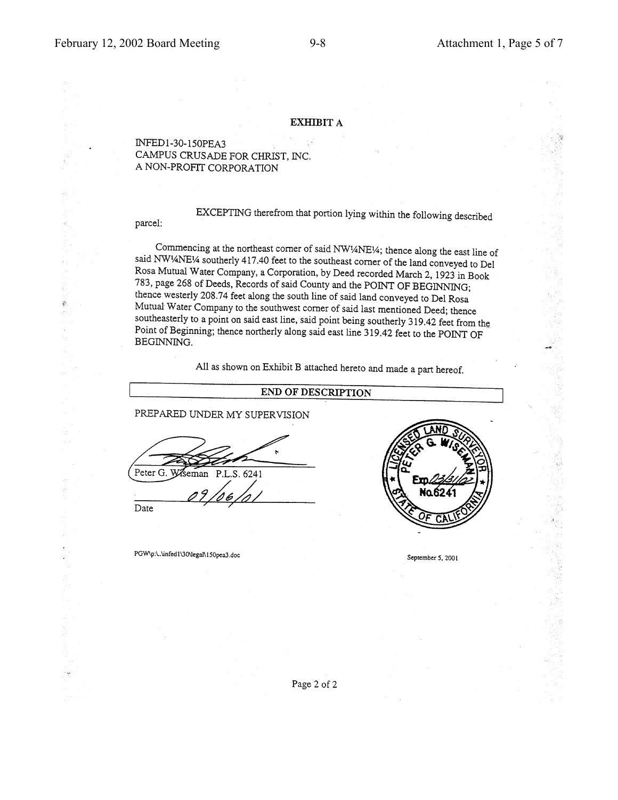parcel:

#### **EXHIBIT A**

#### INFED1-30-150PEA3 CAMPUS CRUSADE FOR CHRIST, INC. A NON-PROFIT CORPORATION

EXCEPTING therefrom that portion lying within the following described

Commencing at the northeast corner of said NW1/4NE1/4; thence along the east line of said NW<sup>1</sup>/4NE<sup>1</sup>/4 southerly 417.40 feet to the southeast corner of the land conveyed to Del Rosa Mutual Water Company, a Corporation, by Deed recorded March 2, 1923 in Book 783, page 268 of Deeds, Records of said County and the POINT OF BEGINNING; thence westerly 208.74 feet along the south line of said land conveyed to Del Rosa Mutual Water Company to the southwest corner of said last mentioned Deed; thence southeasterly to a point on said east line, said point being southerly 319.42 feet from the Point of Beginning; thence northerly along said east line 319.42 feet to the POINT OF BEGINNING.

All as shown on Exhibit B attached hereto and made a part hereof.

#### END OF DESCRIPTION

PREPARED UNDER MY SUPERVISION

Peter G. Wiseman P.L.S. 6241

Date

PGW\p:\..\infed1\30\legal\150pea3.doc



September 5, 2001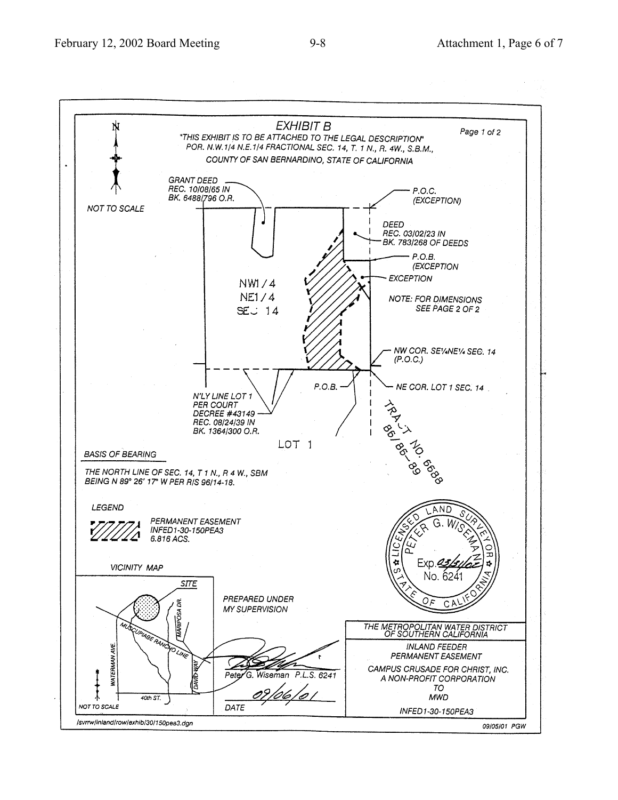